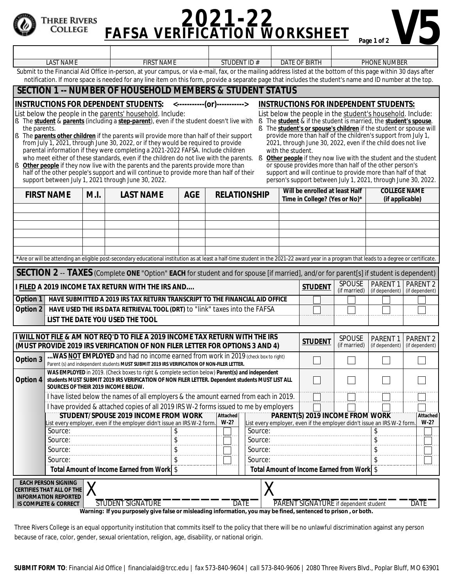## **PAFSA VERIFICATION WORKSHEET** Page 1 of 2 Three Rivers<br>College

|                                                                                                                                                                                                                                                                                                                                                                                                                                                                                                                                                                                                                                                                                                                                                                                                                                                                                                                                                                                                                                                                                                                                                                                                                                                                                                                                                                                                                                                                        | <b>LAST NAME</b><br><b>FIRST NAME</b> |                                                                                                                                                                                            |            | <b>STUDENT ID#</b>  |                | <b>DATE OF BIRTH</b>                                            |                            | <b>PHONE NUMBER</b>                    |                     |  |
|------------------------------------------------------------------------------------------------------------------------------------------------------------------------------------------------------------------------------------------------------------------------------------------------------------------------------------------------------------------------------------------------------------------------------------------------------------------------------------------------------------------------------------------------------------------------------------------------------------------------------------------------------------------------------------------------------------------------------------------------------------------------------------------------------------------------------------------------------------------------------------------------------------------------------------------------------------------------------------------------------------------------------------------------------------------------------------------------------------------------------------------------------------------------------------------------------------------------------------------------------------------------------------------------------------------------------------------------------------------------------------------------------------------------------------------------------------------------|---------------------------------------|--------------------------------------------------------------------------------------------------------------------------------------------------------------------------------------------|------------|---------------------|----------------|-----------------------------------------------------------------|----------------------------|----------------------------------------|---------------------|--|
| Submit to the Financial Aid Office in-person, at your campus, or via e-mail, fax, or the mailing address listed at the bottom of this page within 30 days after<br>notification. If more space is needed for any line item on this form, provide a separate page that includes the student's name and ID number at the top.                                                                                                                                                                                                                                                                                                                                                                                                                                                                                                                                                                                                                                                                                                                                                                                                                                                                                                                                                                                                                                                                                                                                            |                                       |                                                                                                                                                                                            |            |                     |                |                                                                 |                            |                                        |                     |  |
| <b>SECTION 1 -- NUMBER OF HOUSEHOLD MEMBERS &amp; STUDENT STATUS</b>                                                                                                                                                                                                                                                                                                                                                                                                                                                                                                                                                                                                                                                                                                                                                                                                                                                                                                                                                                                                                                                                                                                                                                                                                                                                                                                                                                                                   |                                       |                                                                                                                                                                                            |            |                     |                |                                                                 |                            |                                        |                     |  |
| INSTRUCTIONS FOR DEPENDENT STUDENTS: <------------(or)-----------><br><b>INSTRUCTIONS FOR INDEPENDENT STUDENTS:</b>                                                                                                                                                                                                                                                                                                                                                                                                                                                                                                                                                                                                                                                                                                                                                                                                                                                                                                                                                                                                                                                                                                                                                                                                                                                                                                                                                    |                                       |                                                                                                                                                                                            |            |                     |                |                                                                 |                            |                                        |                     |  |
| List below the people in the parents' household. Include:<br>List below the people in the student's household. Include:<br>§ The <i>student</i> & <i>parents</i> (including a <i>step-parent</i> ), even if the student doesn't live with §<br>The <i>student</i> & if the student is married, the <i>student's spouse</i> .<br>the parents.<br>The <i>student's or spouse's children</i> if the student or spouse will<br>provide more than half of the children's support from July 1<br>The <i>parents other children</i> if the parents will provide more than half of their support<br>IŞ.<br>2021, through June 30, 2022, even if the child does not live<br>from July 1, 2021, through June 30, 2022, or if they would be required to provide<br>parental information if they were completing a 2021-2022 FAFSA. Include children<br>with the student.<br>who meet either of these standards, even if the children do not live with the parents. $\S$<br>Other people if they now live with the student and the student<br>Other people if they now live with the parents and the parents provide more than<br>or spouse provides more than half of the other person's<br>I§.<br>half of the other people's support and will continue to provide more than half of their<br>support and will continue to provide more than half of that<br>support between July 1, 2021 through June 30, 2022.<br>person's support between July 1, 2021, through June 30, 2022. |                                       |                                                                                                                                                                                            |            |                     |                |                                                                 |                            |                                        |                     |  |
| <b>FIRST NAME</b>                                                                                                                                                                                                                                                                                                                                                                                                                                                                                                                                                                                                                                                                                                                                                                                                                                                                                                                                                                                                                                                                                                                                                                                                                                                                                                                                                                                                                                                      | M.I.                                  | <b>LAST NAME</b>                                                                                                                                                                           | <b>AGE</b> | <b>RELATIONSHIP</b> |                | Will be enrolled at least Half<br>Time in College? (Yes or No)* |                            | <b>COLLEGE NAME</b><br>(if applicable) |                     |  |
|                                                                                                                                                                                                                                                                                                                                                                                                                                                                                                                                                                                                                                                                                                                                                                                                                                                                                                                                                                                                                                                                                                                                                                                                                                                                                                                                                                                                                                                                        |                                       |                                                                                                                                                                                            |            |                     |                |                                                                 |                            |                                        |                     |  |
|                                                                                                                                                                                                                                                                                                                                                                                                                                                                                                                                                                                                                                                                                                                                                                                                                                                                                                                                                                                                                                                                                                                                                                                                                                                                                                                                                                                                                                                                        |                                       |                                                                                                                                                                                            |            |                     |                |                                                                 |                            |                                        |                     |  |
|                                                                                                                                                                                                                                                                                                                                                                                                                                                                                                                                                                                                                                                                                                                                                                                                                                                                                                                                                                                                                                                                                                                                                                                                                                                                                                                                                                                                                                                                        |                                       |                                                                                                                                                                                            |            |                     |                |                                                                 |                            |                                        |                     |  |
|                                                                                                                                                                                                                                                                                                                                                                                                                                                                                                                                                                                                                                                                                                                                                                                                                                                                                                                                                                                                                                                                                                                                                                                                                                                                                                                                                                                                                                                                        |                                       |                                                                                                                                                                                            |            |                     |                |                                                                 |                            |                                        |                     |  |
|                                                                                                                                                                                                                                                                                                                                                                                                                                                                                                                                                                                                                                                                                                                                                                                                                                                                                                                                                                                                                                                                                                                                                                                                                                                                                                                                                                                                                                                                        |                                       |                                                                                                                                                                                            |            |                     |                |                                                                 |                            |                                        |                     |  |
|                                                                                                                                                                                                                                                                                                                                                                                                                                                                                                                                                                                                                                                                                                                                                                                                                                                                                                                                                                                                                                                                                                                                                                                                                                                                                                                                                                                                                                                                        |                                       | *Are or will be attending an eligible post-secondary educational institution as at least a half-time student in the 2021-22 award year in a program that leads to a degree or certificate. |            |                     |                |                                                                 |                            |                                        |                     |  |
| SECTION 2 -- TAXES (Complete ONE "Option" EACH for student and for spouse [if married], and/or for parent[s] if student is dependent)                                                                                                                                                                                                                                                                                                                                                                                                                                                                                                                                                                                                                                                                                                                                                                                                                                                                                                                                                                                                                                                                                                                                                                                                                                                                                                                                  |                                       |                                                                                                                                                                                            |            |                     |                |                                                                 |                            |                                        |                     |  |
| I FILED A 2019 INCOME TAX RETURN WITH THE IRS AND                                                                                                                                                                                                                                                                                                                                                                                                                                                                                                                                                                                                                                                                                                                                                                                                                                                                                                                                                                                                                                                                                                                                                                                                                                                                                                                                                                                                                      |                                       |                                                                                                                                                                                            |            |                     | <b>STUDENT</b> | <b>SPOUSE</b><br>(if married)                                   | PARENT 1<br>(if dependent) | PARENT <sub>2</sub><br>(if dependent)  |                     |  |
| HAVE SUBMITTED A 2019 IRS TAX RETURN TRANSCRIPT TO THE FINANCIAL AID OFFICE<br>Option 1                                                                                                                                                                                                                                                                                                                                                                                                                                                                                                                                                                                                                                                                                                                                                                                                                                                                                                                                                                                                                                                                                                                                                                                                                                                                                                                                                                                |                                       |                                                                                                                                                                                            |            |                     |                |                                                                 |                            |                                        |                     |  |
| Option 2<br>HAVE USED THE IRS DATA RETRIEVAL TOOL (DRT) to "link" taxes into the FAFSA<br>LIST THE DATE YOU USED THE TOOL                                                                                                                                                                                                                                                                                                                                                                                                                                                                                                                                                                                                                                                                                                                                                                                                                                                                                                                                                                                                                                                                                                                                                                                                                                                                                                                                              |                                       |                                                                                                                                                                                            |            |                     |                |                                                                 |                            |                                        |                     |  |
|                                                                                                                                                                                                                                                                                                                                                                                                                                                                                                                                                                                                                                                                                                                                                                                                                                                                                                                                                                                                                                                                                                                                                                                                                                                                                                                                                                                                                                                                        |                                       |                                                                                                                                                                                            |            |                     |                |                                                                 |                            |                                        |                     |  |
|                                                                                                                                                                                                                                                                                                                                                                                                                                                                                                                                                                                                                                                                                                                                                                                                                                                                                                                                                                                                                                                                                                                                                                                                                                                                                                                                                                                                                                                                        |                                       | I WILL NOT FILE & AM NOT REQ'D TO FILE A 2019 INCOME TAX RETURN WITH THE IRS                                                                                                               |            |                     |                | <b>STUDENT</b>                                                  | <b>SPOUSE</b>              | <b>PARENT1</b>                         | PARENT <sub>2</sub> |  |
| (MUST PROVIDE 2019 IRS VERIFICATION OF NON FILER LETTER FOR OPTIONS 3 AND 4)                                                                                                                                                                                                                                                                                                                                                                                                                                                                                                                                                                                                                                                                                                                                                                                                                                                                                                                                                                                                                                                                                                                                                                                                                                                                                                                                                                                           |                                       |                                                                                                                                                                                            |            |                     |                | (if married)                                                    | (if dependent)             | (if dependent)                         |                     |  |
| WAS <b>NOT EMPLOYED</b> and had no income earned from work in 2019 (check box to right)<br>Option 3<br>Parent (s) and independent students MUST SUBMIT 2019 IRS VERIFICATION OF NON-FILER LETTER.                                                                                                                                                                                                                                                                                                                                                                                                                                                                                                                                                                                                                                                                                                                                                                                                                                                                                                                                                                                                                                                                                                                                                                                                                                                                      |                                       |                                                                                                                                                                                            |            |                     |                |                                                                 |                            |                                        |                     |  |
| WAS EMPLOYED in 2019. (Check boxes to right & complete section below) Parent(s) and independent<br>Option 4<br>students MUST SUBMIT 2019 IRS VERIFICATION OF NON FILER LETTER. <i>Dependent students</i> MUST LIST ALL<br>SOURCES OF THEIR 2019 INCOME BELOW.                                                                                                                                                                                                                                                                                                                                                                                                                                                                                                                                                                                                                                                                                                                                                                                                                                                                                                                                                                                                                                                                                                                                                                                                          |                                       |                                                                                                                                                                                            |            |                     |                |                                                                 |                            |                                        |                     |  |
| I have listed below the names of all employers & the amount earned from each in 2019.                                                                                                                                                                                                                                                                                                                                                                                                                                                                                                                                                                                                                                                                                                                                                                                                                                                                                                                                                                                                                                                                                                                                                                                                                                                                                                                                                                                  |                                       |                                                                                                                                                                                            |            |                     |                |                                                                 |                            |                                        |                     |  |
| I have provided & attached copies of all 2019 IRS W-2 forms issued to me by employers                                                                                                                                                                                                                                                                                                                                                                                                                                                                                                                                                                                                                                                                                                                                                                                                                                                                                                                                                                                                                                                                                                                                                                                                                                                                                                                                                                                  |                                       |                                                                                                                                                                                            |            |                     |                |                                                                 |                            |                                        |                     |  |
| STUDENT/SPOUSE 2019 INCOME FROM WORK<br>PARENT(S) 2019 INCOME FROM WORK<br>Attached<br>Attached<br>$W-2?$<br>$W-2?$<br>List every employer, even if the employer didn't issue an IRS W-2 form.<br>List every employer, even if the employer didn't issue an IRS W-2 form                                                                                                                                                                                                                                                                                                                                                                                                                                                                                                                                                                                                                                                                                                                                                                                                                                                                                                                                                                                                                                                                                                                                                                                               |                                       |                                                                                                                                                                                            |            |                     |                |                                                                 |                            |                                        |                     |  |
| Source:<br>Source:<br>\$                                                                                                                                                                                                                                                                                                                                                                                                                                                                                                                                                                                                                                                                                                                                                                                                                                                                                                                                                                                                                                                                                                                                                                                                                                                                                                                                                                                                                                               |                                       |                                                                                                                                                                                            |            |                     |                |                                                                 |                            |                                        |                     |  |
| Source:                                                                                                                                                                                                                                                                                                                                                                                                                                                                                                                                                                                                                                                                                                                                                                                                                                                                                                                                                                                                                                                                                                                                                                                                                                                                                                                                                                                                                                                                | \$<br>Source:<br>\$                   |                                                                                                                                                                                            |            |                     |                |                                                                 |                            |                                        |                     |  |
| Source:                                                                                                                                                                                                                                                                                                                                                                                                                                                                                                                                                                                                                                                                                                                                                                                                                                                                                                                                                                                                                                                                                                                                                                                                                                                                                                                                                                                                                                                                | \$<br>Source:<br>S                    |                                                                                                                                                                                            |            |                     |                |                                                                 |                            |                                        |                     |  |
| \$<br>\$<br>Source:<br>Source:                                                                                                                                                                                                                                                                                                                                                                                                                                                                                                                                                                                                                                                                                                                                                                                                                                                                                                                                                                                                                                                                                                                                                                                                                                                                                                                                                                                                                                         |                                       |                                                                                                                                                                                            |            |                     |                |                                                                 |                            |                                        |                     |  |
| Total Amount of Income Earned from Work \$<br>Total Amount of Income Earned from Work   \$                                                                                                                                                                                                                                                                                                                                                                                                                                                                                                                                                                                                                                                                                                                                                                                                                                                                                                                                                                                                                                                                                                                                                                                                                                                                                                                                                                             |                                       |                                                                                                                                                                                            |            |                     |                |                                                                 |                            |                                        |                     |  |
| <b>EACH PERSON SIGNING</b><br><b>CERTIFIES THAT ALL OF THE</b>                                                                                                                                                                                                                                                                                                                                                                                                                                                                                                                                                                                                                                                                                                                                                                                                                                                                                                                                                                                                                                                                                                                                                                                                                                                                                                                                                                                                         |                                       |                                                                                                                                                                                            |            |                     |                |                                                                 |                            |                                        |                     |  |
| <b>INFORMATION REPORTED</b><br>STUDENT SIGNATURE<br><b>DATE</b><br><b>DATE</b><br>PARENT SIGNATURE if dependent student<br>IS COMPLETE & CORRECT<br>Warning: If you purposely give false or misleading information, you may be fined, sentenced to prison, or both                                                                                                                                                                                                                                                                                                                                                                                                                                                                                                                                                                                                                                                                                                                                                                                                                                                                                                                                                                                                                                                                                                                                                                                                     |                                       |                                                                                                                                                                                            |            |                     |                |                                                                 |                            |                                        |                     |  |

**Warning: If you purposely give false or misleading information, you may be fined, sentenced to prison , or both.** 

Three Rivers College is an equal opportunity institution that commits itself to the policy that there will be no unlawful discrimination against any person because of race, color, gender, sexual orientation, religion, age, disability, or national origin.